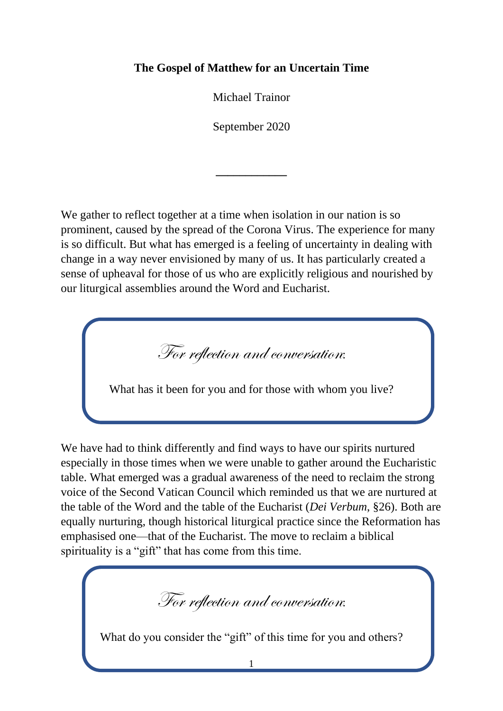## **The Gospel of Matthew for an Uncertain Time**

Michael Trainor

September 2020

**\_\_\_\_\_\_\_\_\_\_\_\_**

We gather to reflect together at a time when isolation in our nation is so prominent, caused by the spread of the Corona Virus. The experience for many is so difficult. But what has emerged is a feeling of uncertainty in dealing with change in a way never envisioned by many of us. It has particularly created a sense of upheaval for those of us who are explicitly religious and nourished by our liturgical assemblies around the Word and Eucharist.

For reflection and conversation:

What has it been for you and for those with whom you live?

We have had to think differently and find ways to have our spirits nurtured especially in those times when we were unable to gather around the Eucharistic table. What emerged was a gradual awareness of the need to reclaim the strong voice of the Second Vatican Council which reminded us that we are nurtured at the table of the Word and the table of the Eucharist (*Dei Verbum*, §26). Both are equally nurturing, though historical liturgical practice since the Reformation has emphasised one—that of the Eucharist. The move to reclaim a biblical spirituality is a "gift" that has come from this time.

For reflection and conversation:

What do you consider the "gift" of this time for you and others?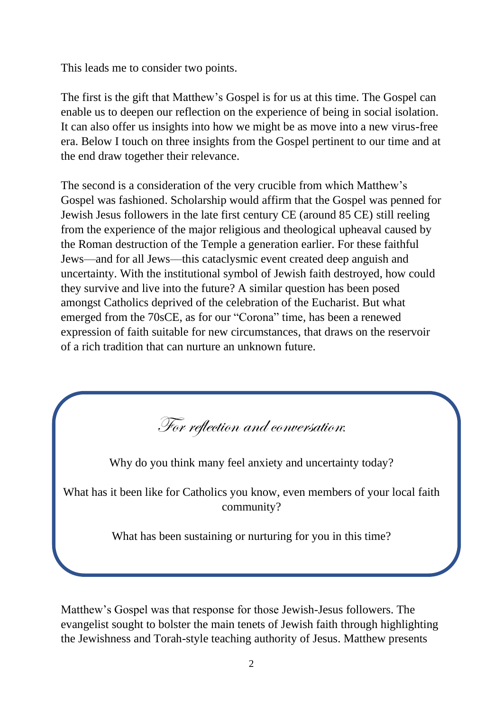This leads me to consider two points.

The first is the gift that Matthew's Gospel is for us at this time. The Gospel can enable us to deepen our reflection on the experience of being in social isolation. It can also offer us insights into how we might be as move into a new virus-free era. Below I touch on three insights from the Gospel pertinent to our time and at the end draw together their relevance.

The second is a consideration of the very crucible from which Matthew's Gospel was fashioned. Scholarship would affirm that the Gospel was penned for Jewish Jesus followers in the late first century CE (around 85 CE) still reeling from the experience of the major religious and theological upheaval caused by the Roman destruction of the Temple a generation earlier. For these faithful Jews—and for all Jews—this cataclysmic event created deep anguish and uncertainty. With the institutional symbol of Jewish faith destroyed, how could they survive and live into the future? A similar question has been posed amongst Catholics deprived of the celebration of the Eucharist. But what emerged from the 70sCE, as for our "Corona" time, has been a renewed expression of faith suitable for new circumstances, that draws on the reservoir of a rich tradition that can nurture an unknown future.

For reflection and conversation:

Why do you think many feel anxiety and uncertainty today?

What has it been like for Catholics you know, even members of your local faith community?

What has been sustaining or nurturing for you in this time?

Matthew's Gospel was that response for those Jewish-Jesus followers. The evangelist sought to bolster the main tenets of Jewish faith through highlighting the Jewishness and Torah-style teaching authority of Jesus. Matthew presents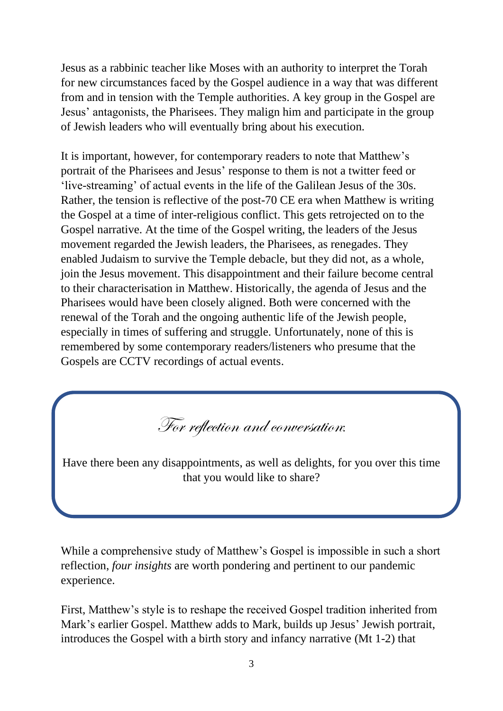Jesus as a rabbinic teacher like Moses with an authority to interpret the Torah for new circumstances faced by the Gospel audience in a way that was different from and in tension with the Temple authorities. A key group in the Gospel are Jesus' antagonists, the Pharisees. They malign him and participate in the group of Jewish leaders who will eventually bring about his execution.

It is important, however, for contemporary readers to note that Matthew's portrait of the Pharisees and Jesus' response to them is not a twitter feed or 'live-streaming' of actual events in the life of the Galilean Jesus of the 30s. Rather, the tension is reflective of the post-70 CE era when Matthew is writing the Gospel at a time of inter-religious conflict. This gets retrojected on to the Gospel narrative. At the time of the Gospel writing, the leaders of the Jesus movement regarded the Jewish leaders, the Pharisees, as renegades. They enabled Judaism to survive the Temple debacle, but they did not, as a whole, join the Jesus movement. This disappointment and their failure become central to their characterisation in Matthew. Historically, the agenda of Jesus and the Pharisees would have been closely aligned. Both were concerned with the renewal of the Torah and the ongoing authentic life of the Jewish people, especially in times of suffering and struggle. Unfortunately, none of this is remembered by some contemporary readers/listeners who presume that the Gospels are CCTV recordings of actual events.

For reflection and conversation:

Have there been any disappointments, as well as delights, for you over this time that you would like to share?

While a comprehensive study of Matthew's Gospel is impossible in such a short reflection, *four insights* are worth pondering and pertinent to our pandemic experience.

First, Matthew's style is to reshape the received Gospel tradition inherited from Mark's earlier Gospel. Matthew adds to Mark, builds up Jesus' Jewish portrait, introduces the Gospel with a birth story and infancy narrative (Mt 1-2) that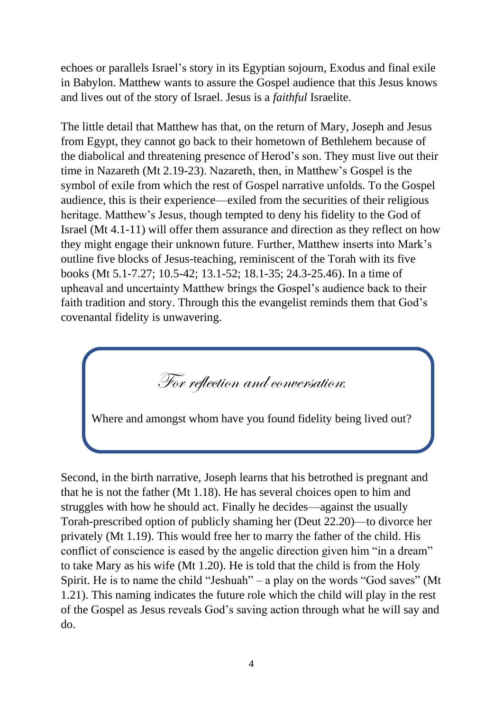echoes or parallels Israel's story in its Egyptian sojourn, Exodus and final exile in Babylon. Matthew wants to assure the Gospel audience that this Jesus knows and lives out of the story of Israel. Jesus is a *faithful* Israelite.

The little detail that Matthew has that, on the return of Mary, Joseph and Jesus from Egypt, they cannot go back to their hometown of Bethlehem because of the diabolical and threatening presence of Herod's son. They must live out their time in Nazareth (Mt 2.19-23). Nazareth, then, in Matthew's Gospel is the symbol of exile from which the rest of Gospel narrative unfolds. To the Gospel audience, this is their experience—exiled from the securities of their religious heritage. Matthew's Jesus, though tempted to deny his fidelity to the God of Israel (Mt 4.1-11) will offer them assurance and direction as they reflect on how they might engage their unknown future. Further, Matthew inserts into Mark's outline five blocks of Jesus-teaching, reminiscent of the Torah with its five books (Mt 5.1-7.27; 10.5-42; 13.1-52; 18.1-35; 24.3-25.46). In a time of upheaval and uncertainty Matthew brings the Gospel's audience back to their faith tradition and story. Through this the evangelist reminds them that God's covenantal fidelity is unwavering.

For reflection and conversation:

Where and amongst whom have you found fidelity being lived out?

Second, in the birth narrative, Joseph learns that his betrothed is pregnant and that he is not the father (Mt 1.18). He has several choices open to him and struggles with how he should act. Finally he decides—against the usually Torah-prescribed option of publicly shaming her (Deut 22.20)—to divorce her privately (Mt 1.19). This would free her to marry the father of the child. His conflict of conscience is eased by the angelic direction given him "in a dream" to take Mary as his wife (Mt 1.20). He is told that the child is from the Holy Spirit. He is to name the child "Jeshuah" – a play on the words "God saves" (Mt 1.21). This naming indicates the future role which the child will play in the rest of the Gospel as Jesus reveals God's saving action through what he will say and do.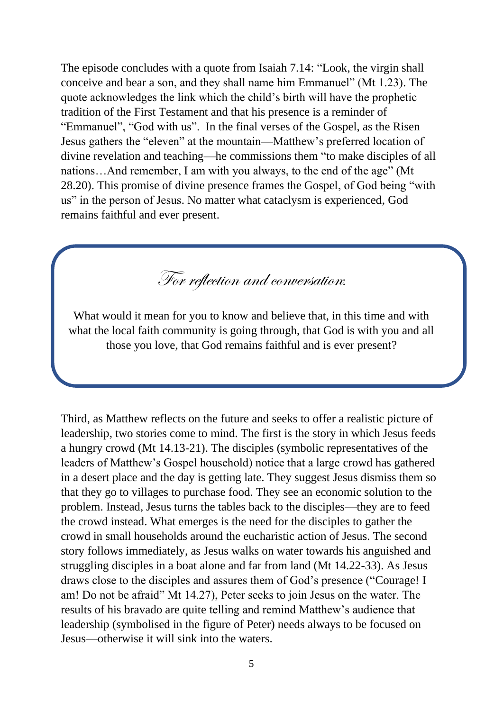The episode concludes with a quote from Isaiah 7.14: "Look, the virgin shall conceive and bear a son, and they shall name him Emmanuel" (Mt 1.23). The quote acknowledges the link which the child's birth will have the prophetic tradition of the First Testament and that his presence is a reminder of "Emmanuel", "God with us". In the final verses of the Gospel, as the Risen Jesus gathers the "eleven" at the mountain—Matthew's preferred location of divine revelation and teaching—he commissions them "to make disciples of all nations…And remember, I am with you always, to the end of the age" (Mt 28.20). This promise of divine presence frames the Gospel, of God being "with us" in the person of Jesus. No matter what cataclysm is experienced, God remains faithful and ever present.

For reflection and conversation:

What would it mean for you to know and believe that, in this time and with what the local faith community is going through, that God is with you and all those you love, that God remains faithful and is ever present?

Third, as Matthew reflects on the future and seeks to offer a realistic picture of leadership, two stories come to mind. The first is the story in which Jesus feeds a hungry crowd (Mt 14.13-21). The disciples (symbolic representatives of the leaders of Matthew's Gospel household) notice that a large crowd has gathered in a desert place and the day is getting late. They suggest Jesus dismiss them so that they go to villages to purchase food. They see an economic solution to the problem. Instead, Jesus turns the tables back to the disciples—they are to feed the crowd instead. What emerges is the need for the disciples to gather the crowd in small households around the eucharistic action of Jesus. The second story follows immediately, as Jesus walks on water towards his anguished and struggling disciples in a boat alone and far from land (Mt 14.22-33). As Jesus draws close to the disciples and assures them of God's presence ("Courage! I am! Do not be afraid" Mt 14.27), Peter seeks to join Jesus on the water. The results of his bravado are quite telling and remind Matthew's audience that leadership (symbolised in the figure of Peter) needs always to be focused on Jesus—otherwise it will sink into the waters.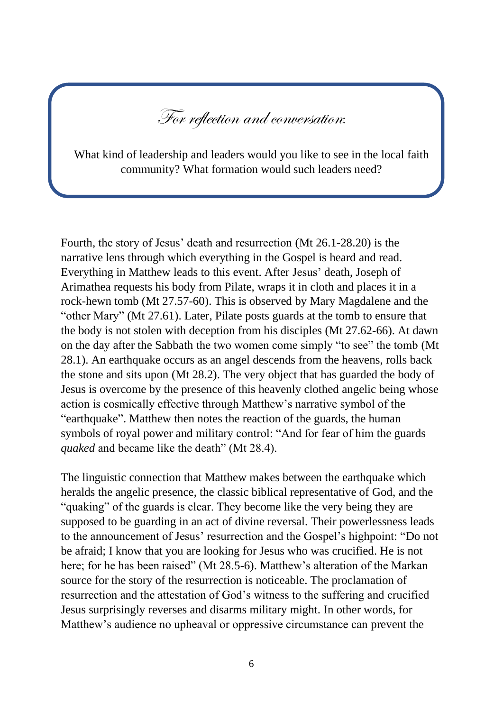For reflection and conversation:

What kind of leadership and leaders would you like to see in the local faith community? What formation would such leaders need?

Fourth, the story of Jesus' death and resurrection (Mt 26.1-28.20) is the narrative lens through which everything in the Gospel is heard and read. Everything in Matthew leads to this event. After Jesus' death, Joseph of Arimathea requests his body from Pilate, wraps it in cloth and places it in a rock-hewn tomb (Mt 27.57-60). This is observed by Mary Magdalene and the "other Mary" (Mt 27.61). Later, Pilate posts guards at the tomb to ensure that the body is not stolen with deception from his disciples (Mt 27.62-66). At dawn on the day after the Sabbath the two women come simply "to see" the tomb (Mt 28.1). An earthquake occurs as an angel descends from the heavens, rolls back the stone and sits upon (Mt 28.2). The very object that has guarded the body of Jesus is overcome by the presence of this heavenly clothed angelic being whose action is cosmically effective through Matthew's narrative symbol of the "earthquake". Matthew then notes the reaction of the guards, the human symbols of royal power and military control: "And for fear of him the guards *quaked* and became like the death" (Mt 28.4).

The linguistic connection that Matthew makes between the earthquake which heralds the angelic presence, the classic biblical representative of God, and the "quaking" of the guards is clear. They become like the very being they are supposed to be guarding in an act of divine reversal. Their powerlessness leads to the announcement of Jesus' resurrection and the Gospel's highpoint: "Do not be afraid; I know that you are looking for Jesus who was crucified. He is not here; for he has been raised" (Mt 28.5-6). Matthew's alteration of the Markan source for the story of the resurrection is noticeable. The proclamation of resurrection and the attestation of God's witness to the suffering and crucified Jesus surprisingly reverses and disarms military might. In other words, for Matthew's audience no upheaval or oppressive circumstance can prevent the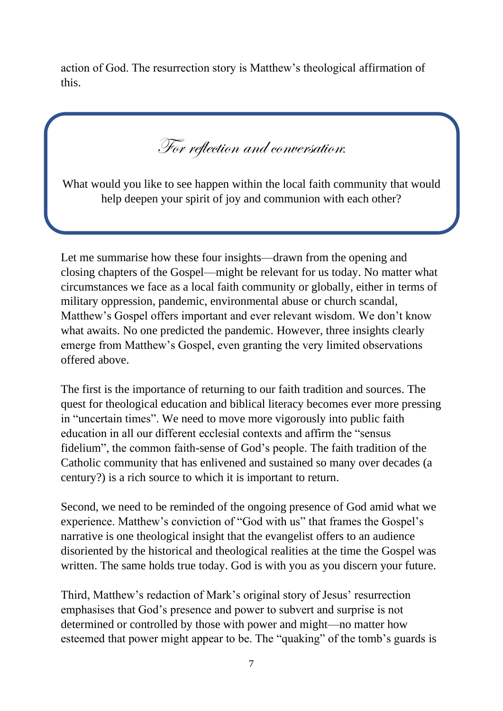action of God. The resurrection story is Matthew's theological affirmation of this.

For reflection and conversation:

What would you like to see happen within the local faith community that would help deepen your spirit of joy and communion with each other?

Let me summarise how these four insights—drawn from the opening and closing chapters of the Gospel—might be relevant for us today. No matter what circumstances we face as a local faith community or globally, either in terms of military oppression, pandemic, environmental abuse or church scandal, Matthew's Gospel offers important and ever relevant wisdom. We don't know what awaits. No one predicted the pandemic. However, three insights clearly emerge from Matthew's Gospel, even granting the very limited observations offered above.

The first is the importance of returning to our faith tradition and sources. The quest for theological education and biblical literacy becomes ever more pressing in "uncertain times". We need to move more vigorously into public faith education in all our different ecclesial contexts and affirm the "sensus fidelium", the common faith-sense of God's people. The faith tradition of the Catholic community that has enlivened and sustained so many over decades (a century?) is a rich source to which it is important to return.

Second, we need to be reminded of the ongoing presence of God amid what we experience. Matthew's conviction of "God with us" that frames the Gospel's narrative is one theological insight that the evangelist offers to an audience disoriented by the historical and theological realities at the time the Gospel was written. The same holds true today. God is with you as you discern your future.

Third, Matthew's redaction of Mark's original story of Jesus' resurrection emphasises that God's presence and power to subvert and surprise is not determined or controlled by those with power and might—no matter how esteemed that power might appear to be. The "quaking" of the tomb's guards is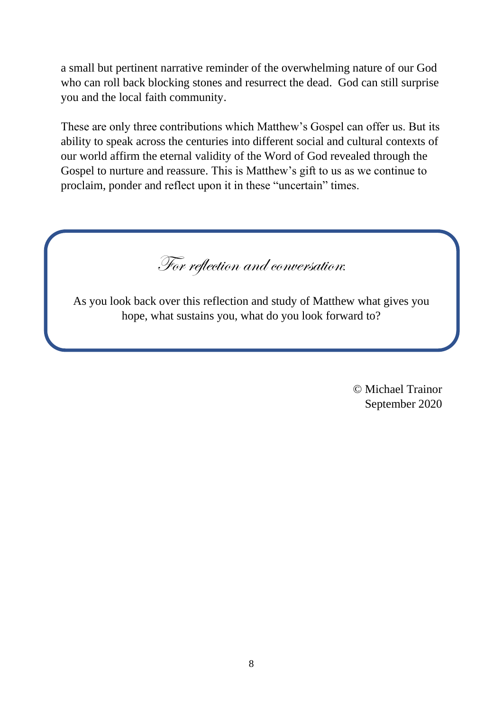a small but pertinent narrative reminder of the overwhelming nature of our God who can roll back blocking stones and resurrect the dead. God can still surprise you and the local faith community.

These are only three contributions which Matthew's Gospel can offer us. But its ability to speak across the centuries into different social and cultural contexts of our world affirm the eternal validity of the Word of God revealed through the Gospel to nurture and reassure. This is Matthew's gift to us as we continue to proclaim, ponder and reflect upon it in these "uncertain" times.

For reflection and conversation:

As you look back over this reflection and study of Matthew what gives you hope, what sustains you, what do you look forward to?

> © Michael Trainor September 2020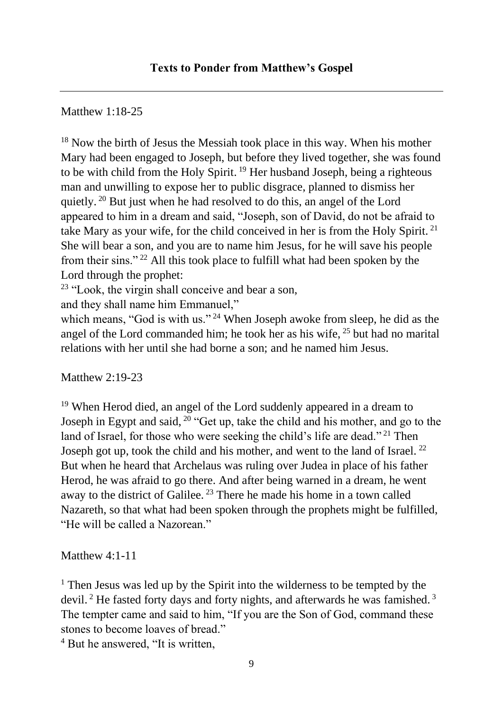Matthew 1:18-25

<sup>18</sup> Now the birth of Jesus the Messiah took place in this way. When his mother Mary had been engaged to Joseph, but before they lived together, she was found to be with child from the Holy Spirit.<sup>19</sup> Her husband Joseph, being a righteous man and unwilling to expose her to public disgrace, planned to dismiss her quietly. <sup>20</sup> But just when he had resolved to do this, an angel of the Lord appeared to him in a dream and said, "Joseph, son of David, do not be afraid to take Mary as your wife, for the child conceived in her is from the Holy Spirit. <sup>21</sup> She will bear a son, and you are to name him Jesus, for he will save his people from their sins." <sup>22</sup> All this took place to fulfill what had been spoken by the Lord through the prophet:

 $23$  "Look, the virgin shall conceive and bear a son,

and they shall name him Emmanuel,"

which means, "God is with us."<sup>24</sup> When Joseph awoke from sleep, he did as the angel of the Lord commanded him; he took her as his wife, <sup>25</sup> but had no marital relations with her until she had borne a son; and he named him Jesus.

Matthew 2:19-23

<sup>19</sup> When Herod died, an angel of the Lord suddenly appeared in a dream to Joseph in Egypt and said,  $20$  "Get up, take the child and his mother, and go to the land of Israel, for those who were seeking the child's life are dead."<sup>21</sup> Then Joseph got up, took the child and his mother, and went to the land of Israel.<sup>22</sup> But when he heard that Archelaus was ruling over Judea in place of his father Herod, he was afraid to go there. And after being warned in a dream, he went away to the district of Galilee. <sup>23</sup> There he made his home in a town called Nazareth, so that what had been spoken through the prophets might be fulfilled, "He will be called a Nazorean"

Matthew 4:1-11

<sup>1</sup> Then Jesus was led up by the Spirit into the wilderness to be tempted by the devil.<sup>2</sup> He fasted forty days and forty nights, and afterwards he was famished.<sup>3</sup> The tempter came and said to him, "If you are the Son of God, command these stones to become loaves of bread."

<sup>4</sup> But he answered, "It is written,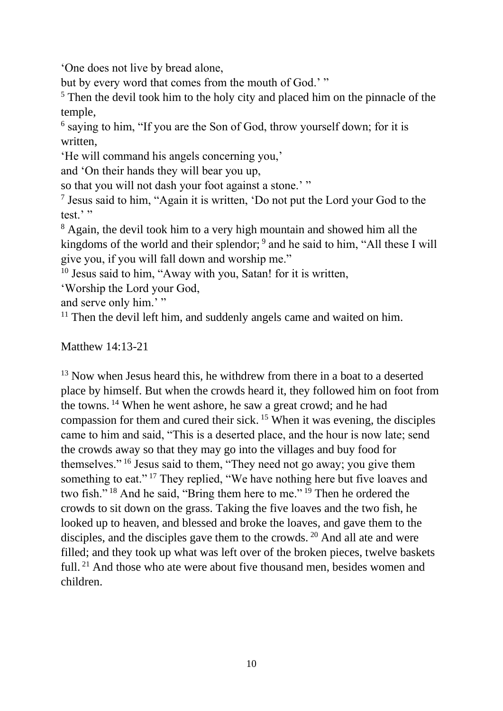'One does not live by bread alone,

but by every word that comes from the mouth of God.' "

<sup>5</sup> Then the devil took him to the holy city and placed him on the pinnacle of the temple,

<sup>6</sup> saying to him, "If you are the Son of God, throw yourself down; for it is written,

'He will command his angels concerning you,'

and 'On their hands they will bear you up,

so that you will not dash your foot against a stone.' "

7 Jesus said to him, "Again it is written, 'Do not put the Lord your God to the test.'"

<sup>8</sup> Again, the devil took him to a very high mountain and showed him all the kingdoms of the world and their splendor; <sup>9</sup> and he said to him, "All these I will give you, if you will fall down and worship me."

<sup>10</sup> Jesus said to him, "Away with you, Satan! for it is written,

'Worship the Lord your God,

and serve only him.'"

 $11$  Then the devil left him, and suddenly angels came and waited on him.

## Matthew 14:13-21

<sup>13</sup> Now when Jesus heard this, he withdrew from there in a boat to a deserted place by himself. But when the crowds heard it, they followed him on foot from the towns. <sup>14</sup> When he went ashore, he saw a great crowd; and he had compassion for them and cured their sick. <sup>15</sup> When it was evening, the disciples came to him and said, "This is a deserted place, and the hour is now late; send the crowds away so that they may go into the villages and buy food for themselves." <sup>16</sup> Jesus said to them, "They need not go away; you give them something to eat."<sup>17</sup> They replied, "We have nothing here but five loaves and two fish." <sup>18</sup> And he said, "Bring them here to me." <sup>19</sup> Then he ordered the crowds to sit down on the grass. Taking the five loaves and the two fish, he looked up to heaven, and blessed and broke the loaves, and gave them to the disciples, and the disciples gave them to the crowds. <sup>20</sup> And all ate and were filled; and they took up what was left over of the broken pieces, twelve baskets full.<sup>21</sup> And those who ate were about five thousand men, besides women and children.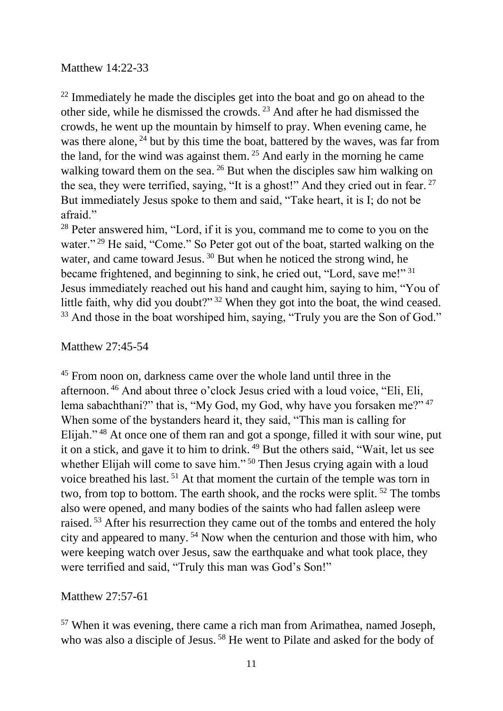## Matthew 14:22-33

 $22$  Immediately he made the disciples get into the boat and go on ahead to the other side, while he dismissed the crowds. <sup>23</sup> And after he had dismissed the crowds, he went up the mountain by himself to pray. When evening came, he was there alone, <sup>24</sup> but by this time the boat, battered by the waves, was far from the land, for the wind was against them. <sup>25</sup> And early in the morning he came walking toward them on the sea. <sup>26</sup> But when the disciples saw him walking on the sea, they were terrified, saying, "It is a ghost!" And they cried out in fear.  $27$ But immediately Jesus spoke to them and said, "Take heart, it is I; do not be afraid."

<sup>28</sup> Peter answered him, "Lord, if it is you, command me to come to you on the water."<sup>29</sup> He said, "Come." So Peter got out of the boat, started walking on the water, and came toward Jesus.<sup>30</sup> But when he noticed the strong wind, he became frightened, and beginning to sink, he cried out, "Lord, save me!" <sup>31</sup> Jesus immediately reached out his hand and caught him, saying to him, "You of little faith, why did you doubt?" <sup>32</sup> When they got into the boat, the wind ceased. <sup>33</sup> And those in the boat worshiped him, saying, "Truly you are the Son of God."

## Matthew 27:45-54

<sup>45</sup> From noon on, darkness came over the whole land until three in the afternoon. <sup>46</sup> And about three o'clock Jesus cried with a loud voice, "Eli, Eli, lema sabachthani?" that is, "My God, my God, why have you forsaken me?" <sup>47</sup> When some of the bystanders heard it, they said, "This man is calling for Elijah." <sup>48</sup> At once one of them ran and got a sponge, filled it with sour wine, put it on a stick, and gave it to him to drink. <sup>49</sup> But the others said, "Wait, let us see whether Elijah will come to save him."<sup>50</sup> Then Jesus crying again with a loud voice breathed his last. <sup>51</sup> At that moment the curtain of the temple was torn in two, from top to bottom. The earth shook, and the rocks were split. <sup>52</sup> The tombs also were opened, and many bodies of the saints who had fallen asleep were raised.<sup>53</sup> After his resurrection they came out of the tombs and entered the holy city and appeared to many. <sup>54</sup> Now when the centurion and those with him, who were keeping watch over Jesus, saw the earthquake and what took place, they were terrified and said, "Truly this man was God's Son!"

Matthew 27:57-61

<sup>57</sup> When it was evening, there came a rich man from Arimathea, named Joseph, who was also a disciple of Jesus.<sup>58</sup> He went to Pilate and asked for the body of